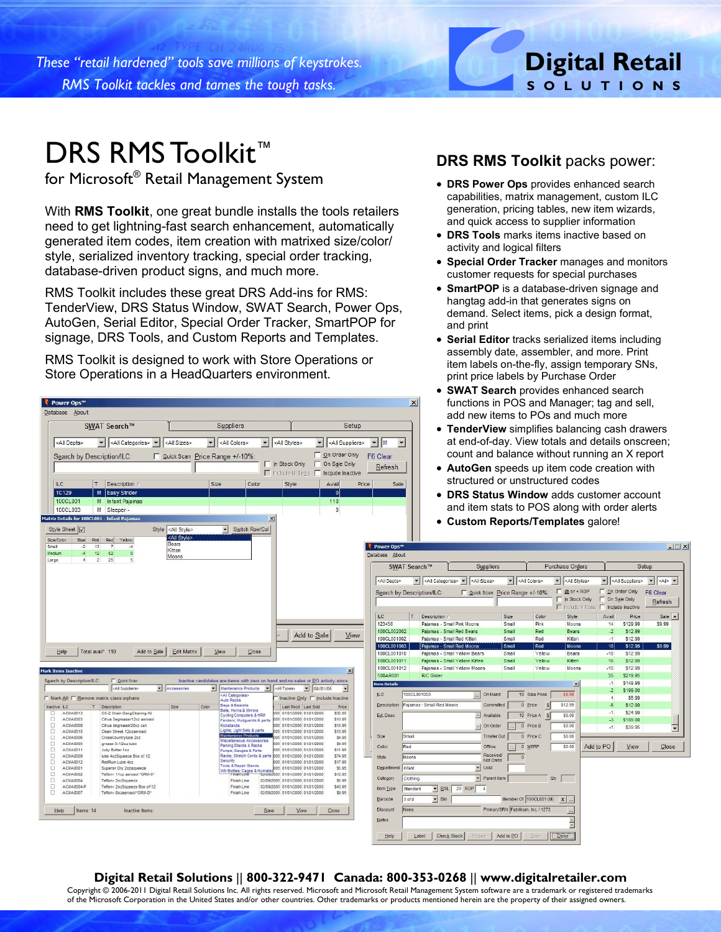*These "retail hardened" tools save millions of keystrokes. RMS Toolkit tackles and tames the tough tasks.*

## DRS RMS Toolkit<sup>™</sup>

for Microsoft® Retail Management System

With **RMS Toolkit**, one great bundle installs the tools retailers need to get lightning-fast search enhancement, automatically generated item codes, item creation with matrixed size/color/ style, serialized inventory tracking, special order tracking, database-driven product signs, and much more.

RMS Toolkit includes these great DRS Add-ins for RMS: TenderView, DRS Status Window, SWAT Search, Power Ops, AutoGen, Serial Editor, Special Order Tracker, SmartPOP for signage, DRS Tools, and Custom Reports and Templates.

RMS Toolkit is designed to work with Store Operations or Store Operations in a HeadQuarters environment.

#### ₹ Power Ops™ Database About SWAT Search™ Suppliers Setup V <All Styles> V <All Colors> <All Depts> All Categories> v <All Sizes>  $\blacktriangleright$  <All Suppliers>  $\blacktriangleright$  M On Order Only Quick Scan F6 Clear Search by Description/ILC: Price Range +/-10%  $\Box$  On Sale Only In Stock Only Refresh  $\Gamma$ Include NI Items  $\Box$  Include Inactive Description Style Avail Prio M Easy Strider 1C129 - ol 100CL001 M Infant Pajamas 110 100CL003 M Sleeper  $\overline{0}$ Details for 100CL001 - Infant Pai Switch Row/Col Style <All Style: Style Sheet V <All St ue Pink Red Yelk<br>-2 13 7<br>-4 12 52<br>-4 2 25 Size/Color Blue Bears<br>Kitten<br>Moons Add to Sale View Help | Total avail\*. 110 Add to Sale | Edit Matrix | View | Close are items with zero on ha **E** Quick Sce S<u>e</u>arch by Descript 회 <Al Suppliers Ξ Maintenance Pr<br><All Categories icts **F** Mark All E. Remove matrix class orphans Inactive Only | Include Inactive hactive LC T Description Last Recd Last Sold Price ns & I ACMA0013 CG-2 Chain GangCleaning Kit \$35.95<br>\$10.95 cling C **DOODOODOODOOD** ACMA0003<br>ACMA0008 Citrus Degreaser12oz aeroso 5 01/01/2000 01/01/2000 Citrus degreaser20oz car \$10.95 ACMA0010 Clean Streak 12ozaeroso \$10.95 ACMA000 CrossCountrylube 20 \$4.95 grease 3-1/2oz tube \$9.95 ACMA000 ACMA0011 Judy Butter 1oz \$11.95 ACMA000 lube 4ozSqueeze Box of 12 \$74.95 ACMA0012 RedRum Lube 402 \$17.95 ACMA0001 Superior Dry 2028q \$5.95 es: Cages & Hy<br>Isn Line ACMA0002 Teflon+ 11oz aerosol \*ORM-D \$12.95 2008 01/01/2000 ACMA000 \$5.99 Finish Line Tefon+ 2ozSqueeze Box of 12 ACMA0004 Finish Line 9/2005 01/01/2000 01/01/2000 \$43.95 05 01/01/2000 01/01/200 Help | Items: 14 Inactive Items Save View Close

# **Digital Retail S O L U T I O N S**

#### **DRS RMS Toolkit** packs power:

- **DRS Power Ops** provides enhanced search capabilities, matrix management, custom ILC generation, pricing tables, new item wizards, and quick access to supplier information
- **DRS Tools** marks items inactive based on activity and logical filters
- **Special Order Tracker** manages and monitors customer requests for special purchases
- **SmartPOP** is a database-driven signage and hangtag add-in that generates signs on demand. Select items, pick a design format, and print
- **Serial Editor** tracks serialized items including assembly date, assembler, and more. Print item labels on-the-fly, assign temporary SNs, print price labels by Purchase Order
- **SWAT Search** provides enhanced search functions in POS and Manager; tag and sell, add new items to POs and much more

 $\vert x \vert$ 

 $\vert \cdot \vert$ 

- **TenderView** simplifies balancing cash drawers at end-of-day. View totals and details onscreen; count and balance without running an X report
- **AutoGen** speeds up item code creation with structured or unstructured codes
- **DRS Status Window** adds customer account and item stats to POS along with order alerts
- **Custom Reports/Templates** galore!

| SWAT Search™         |                              |                                                |                               | Suppliers                      |                       | Purchase Orders                   |                       |              |                                                       | Setup        |                          |                          |                                                                  |                          |
|----------------------|------------------------------|------------------------------------------------|-------------------------------|--------------------------------|-----------------------|-----------------------------------|-----------------------|--------------|-------------------------------------------------------|--------------|--------------------------|--------------------------|------------------------------------------------------------------|--------------------------|
| <all depts=""></all> |                              | <all categories=""> <all sizes=""></all></all> |                               |                                |                       | $\mathbf{r}$                      | <all colors=""></all> |              | <all styles=""><br/>▾▏</all>                          |              | $\overline{\phantom{a}}$ | <all suppliers=""></all> | $\blacktriangledown$ <all> <math>\blacktriangledown</math></all> |                          |
|                      |                              | Search by Description/ILC:                     |                               |                                |                       | Quick Scan Price Range +/-10%:    |                       |              | $\Box$ @ or < ROP                                     |              |                          | On Order Only            | F6 Clear                                                         |                          |
|                      |                              |                                                |                               |                                |                       |                                   |                       |              | In Stock Only<br>□ Include Niltems ■ Include Inactive |              | г.                       | On Sale Only             | Refresh                                                          |                          |
| <b>ILC</b>           | T                            | Description /                                  |                               |                                |                       | Size                              | Color                 |              | Style                                                 |              | Avail                    | Price                    | Sale                                                             | $\blacktriangle$         |
| 123456               | Paiamas - Small Pink Moons   |                                                |                               |                                |                       | Small                             | Pink                  |              | Moons                                                 |              | 14                       | \$129.99                 | \$9.99                                                           |                          |
| 100CL002002          | Pajamas - Small Red Bears    |                                                |                               |                                |                       | Small                             |                       | Red          |                                                       | <b>Bears</b> |                          | \$12.99                  |                                                                  |                          |
| 100CL001002          | Pajamas - Small Red Kitten   |                                                |                               |                                |                       | Small                             |                       | Red          |                                                       | Kitten       |                          | S12.99                   |                                                                  |                          |
| 100CL001003          |                              | Pajamas - Small Red Moons                      |                               |                                |                       | <b>Small</b>                      | Red                   |              | Moons                                                 |              | 10 <sup>1</sup>          | \$12.99                  | \$9.99                                                           |                          |
| 100CL001010          |                              |                                                | Paiamas - Small Yellow Bears  |                                |                       | Small                             |                       | Yellow       | Bears                                                 |              | $-10$                    | \$12.99                  |                                                                  |                          |
| 100CL001011          |                              |                                                | Pajamas - Small Yellow Kitten |                                |                       | Small                             |                       | Yellow       | Kitten                                                |              | 16                       | <b>S12.99</b>            |                                                                  |                          |
| 100CL001012          | Pajamas - Small Yellow Moons |                                                |                               |                                |                       | Small                             |                       | Yellow       | Moons                                                 | $-10$        |                          | S <sub>12.99</sub>       |                                                                  |                          |
| 500AR001             |                              | <b>R/C Glider</b>                              |                               |                                |                       |                                   |                       |              |                                                       |              | 35                       | \$219.95                 |                                                                  |                          |
| <b>Item Details</b>  |                              |                                                |                               |                                |                       |                                   |                       |              | $\vert x \vert$                                       |              | $-1$                     | \$149.99                 |                                                                  |                          |
| ILC                  | 100CL001003                  |                                                |                               |                                | On Hand               | 10                                | Sale Price            |              | \$9.99                                                |              | $-2$                     | \$199.00                 |                                                                  |                          |
|                      |                              |                                                |                               |                                |                       |                                   |                       |              |                                                       |              | 4                        | \$5.99                   |                                                                  |                          |
| Description          |                              | Pajamas - Small Red Moons                      |                               |                                | Committed             | $\mathbf{0}$                      | Price                 | $\mathbb{S}$ | \$12.99                                               |              | $-6$                     | \$12.99                  |                                                                  |                          |
| Ext Desc             |                              |                                                |                               | $\left  \bullet \right\rangle$ | Available             | 10                                | Price A               | $\sqrt{5}$   | \$0.00                                                |              | $-1$                     | \$24.99                  |                                                                  |                          |
|                      |                              |                                                |                               | $\overline{\mathbf{v}}$        | On Order              | $\overline{0}$                    | Price B               |              | \$0.00                                                |              | $-3$                     | \$189.00                 |                                                                  |                          |
|                      |                              |                                                |                               |                                |                       |                                   |                       |              |                                                       |              | $-1$                     | \$39.95                  |                                                                  | $\overline{\phantom{a}}$ |
| Size                 | Small                        |                                                |                               |                                | <b>Trnsfer Out</b>    | $\overline{0}$                    | Price C               |              | \$0.00                                                |              |                          |                          |                                                                  |                          |
| Color                | Red                          |                                                |                               |                                | Offline               | $\overline{0}$                    | <b>MSRP</b>           |              | \$0.00                                                |              | Add to PO                | View                     | Close                                                            |                          |
| Style                | Moons                        |                                                |                               |                                | Received/<br>Not Cmtd | $\mathbf{0}$                      |                       |              |                                                       |              |                          |                          |                                                                  |                          |
| Department Infant    |                              |                                                |                               |                                | <b>UoM</b>            |                                   |                       |              |                                                       |              |                          |                          |                                                                  |                          |
| Category             | Clothing                     |                                                |                               |                                | Parent Item           |                                   |                       | Qty          |                                                       |              |                          |                          |                                                                  |                          |
| <b>Item Type</b>     | Standard                     | <b>RSL</b><br>$\overline{\phantom{a}}$         | $20$ ROP                      |                                | $\overline{4}$        |                                   |                       |              |                                                       |              |                          |                          |                                                                  |                          |
| Barcode              | 3 of 9                       | $\blacktriangledown$<br>Bin                    |                               |                                |                       | Member Of 100CL001 (M)            |                       |              | x <br>                                                |              |                          |                          |                                                                  |                          |
| <b>Discount</b>      | None                         |                                                |                               |                                |                       | Primary/SRN Fabrikam, Inc. / 1273 |                       |              | $\cdots$                                              |              |                          |                          |                                                                  |                          |
|                      |                              |                                                |                               |                                |                       |                                   |                       |              | $\frac{1}{x}$                                         |              |                          |                          |                                                                  |                          |

#### **Digital Retail Solutions** || **800-322-9471 Canada: 800-353-0268** || **www.digitalretailer.com**

Copyright © 2006-2011 Digital Retail Solutions Inc. All rights reserved. Microsoft and Microsoft Retail Management System software are a trademark or registered trademarks of the Microsoft Corporation in the United States and/or other countries. Other trademarks or products mentioned herein are the property of their assigned owners.